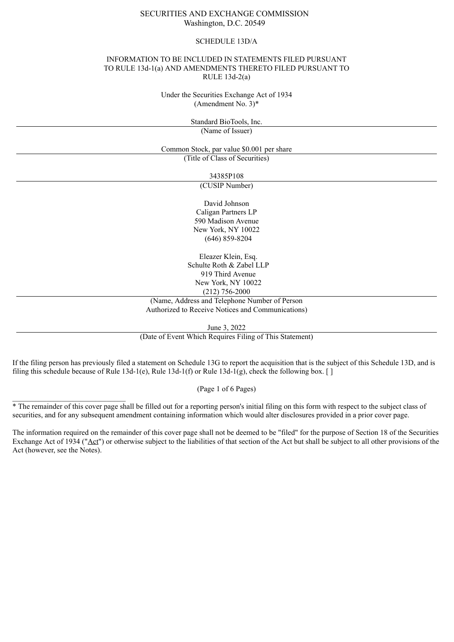# SECURITIES AND EXCHANGE COMMISSION Washington, D.C. 20549

#### SCHEDULE 13D/A

### INFORMATION TO BE INCLUDED IN STATEMENTS FILED PURSUANT TO RULE 13d-1(a) AND AMENDMENTS THERETO FILED PURSUANT TO RULE 13d-2(a)

Under the Securities Exchange Act of 1934 (Amendment No. 3)\*

Standard BioTools, Inc.

(Name of Issuer)

Common Stock, par value \$0.001 per share

(Title of Class of Securities)

34385P108

(CUSIP Number)

David Johnson Caligan Partners LP 590 Madison Avenue New York, NY 10022 (646) 859-8204

Eleazer Klein, Esq. Schulte Roth & Zabel LLP 919 Third Avenue New York, NY 10022 (212) 756-2000

(Name, Address and Telephone Number of Person Authorized to Receive Notices and Communications)

June 3, 2022

(Date of Event Which Requires Filing of This Statement)

If the filing person has previously filed a statement on Schedule 13G to report the acquisition that is the subject of this Schedule 13D, and is filing this schedule because of Rule 13d-1(e), Rule 13d-1(f) or Rule 13d-1(g), check the following box. [ ]

(Page 1 of 6 Pages)

\* The remainder of this cover page shall be filled out for a reporting person's initial filing on this form with respect to the subject class of securities, and for any subsequent amendment containing information which would alter disclosures provided in a prior cover page.

\_\_\_\_\_\_\_\_\_\_\_\_\_\_\_\_\_\_\_\_\_\_\_\_\_\_\_\_\_\_

The information required on the remainder of this cover page shall not be deemed to be "filed" for the purpose of Section 18 of the Securities Exchange Act of 1934 ("Act") or otherwise subject to the liabilities of that section of the Act but shall be subject to all other provisions of the Act (however, see the Notes).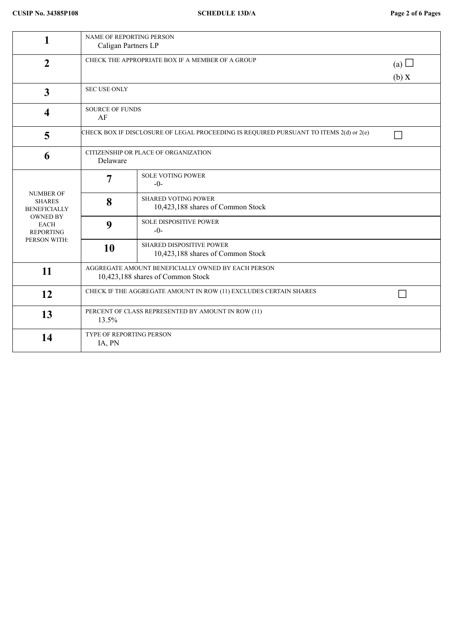| 1                                                                                                                              | <b>NAME OF REPORTING PERSON</b><br>Caligan Partners LP                                  |                                                                      |  |  |  |
|--------------------------------------------------------------------------------------------------------------------------------|-----------------------------------------------------------------------------------------|----------------------------------------------------------------------|--|--|--|
| $\overline{2}$                                                                                                                 | CHECK THE APPROPRIATE BOX IF A MEMBER OF A GROUP                                        | (a) $\Box$<br>(b) X                                                  |  |  |  |
| $\overline{\mathbf{3}}$                                                                                                        | <b>SEC USE ONLY</b>                                                                     |                                                                      |  |  |  |
| 4                                                                                                                              | <b>SOURCE OF FUNDS</b><br>AF                                                            |                                                                      |  |  |  |
| 5                                                                                                                              | CHECK BOX IF DISCLOSURE OF LEGAL PROCEEDING IS REQUIRED PURSUANT TO ITEMS 2(d) or 2(e)  |                                                                      |  |  |  |
| 6                                                                                                                              | CITIZENSHIP OR PLACE OF ORGANIZATION<br>Delaware                                        |                                                                      |  |  |  |
| <b>NUMBER OF</b><br><b>SHARES</b><br><b>BENEFICIALLY</b><br><b>OWNED BY</b><br><b>EACH</b><br><b>REPORTING</b><br>PERSON WITH: | $\overline{7}$                                                                          | <b>SOLE VOTING POWER</b><br>$-0-$                                    |  |  |  |
|                                                                                                                                | 8                                                                                       | <b>SHARED VOTING POWER</b><br>10,423,188 shares of Common Stock      |  |  |  |
|                                                                                                                                | 9                                                                                       | <b>SOLE DISPOSITIVE POWER</b><br>$-0-$                               |  |  |  |
|                                                                                                                                | 10                                                                                      | <b>SHARED DISPOSITIVE POWER</b><br>10,423,188 shares of Common Stock |  |  |  |
| 11                                                                                                                             | AGGREGATE AMOUNT BENEFICIALLY OWNED BY EACH PERSON<br>10,423,188 shares of Common Stock |                                                                      |  |  |  |
| 12                                                                                                                             | CHECK IF THE AGGREGATE AMOUNT IN ROW (11) EXCLUDES CERTAIN SHARES                       |                                                                      |  |  |  |
| 13                                                                                                                             | PERCENT OF CLASS REPRESENTED BY AMOUNT IN ROW (11)<br>13.5%                             |                                                                      |  |  |  |
| 14                                                                                                                             | <b>TYPE OF REPORTING PERSON</b><br>IA, PN                                               |                                                                      |  |  |  |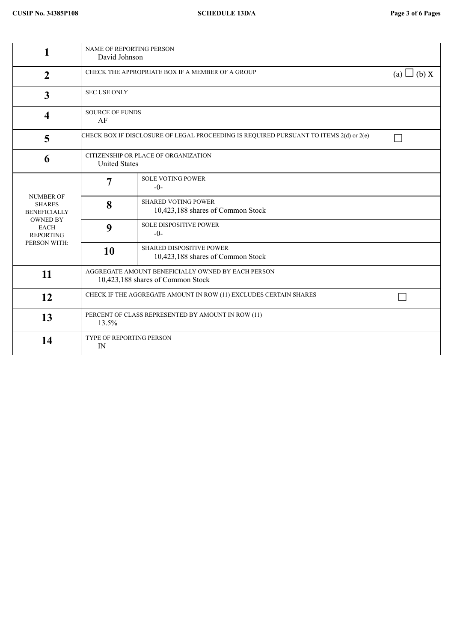| 1                                                                                                                              | NAME OF REPORTING PERSON<br>David Johnson                                               |                                                                      |  |  |
|--------------------------------------------------------------------------------------------------------------------------------|-----------------------------------------------------------------------------------------|----------------------------------------------------------------------|--|--|
| $\mathbf{2}$                                                                                                                   | CHECK THE APPROPRIATE BOX IF A MEMBER OF A GROUP<br>(a) $\Box$ (b) X                    |                                                                      |  |  |
| $\mathbf{3}$                                                                                                                   | <b>SEC USE ONLY</b>                                                                     |                                                                      |  |  |
| $\overline{\mathbf{4}}$                                                                                                        | <b>SOURCE OF FUNDS</b><br>AF                                                            |                                                                      |  |  |
| 5                                                                                                                              | CHECK BOX IF DISCLOSURE OF LEGAL PROCEEDING IS REQUIRED PURSUANT TO ITEMS 2(d) or 2(e)  |                                                                      |  |  |
| 6                                                                                                                              | CITIZENSHIP OR PLACE OF ORGANIZATION<br><b>United States</b>                            |                                                                      |  |  |
| <b>NUMBER OF</b><br><b>SHARES</b><br><b>BENEFICIALLY</b><br><b>OWNED BY</b><br><b>EACH</b><br><b>REPORTING</b><br>PERSON WITH: | $\overline{7}$                                                                          | <b>SOLE VOTING POWER</b><br>$-0-$                                    |  |  |
|                                                                                                                                | 8                                                                                       | <b>SHARED VOTING POWER</b><br>10,423,188 shares of Common Stock      |  |  |
|                                                                                                                                | 9                                                                                       | <b>SOLE DISPOSITIVE POWER</b><br>$-0-$                               |  |  |
|                                                                                                                                | 10                                                                                      | <b>SHARED DISPOSITIVE POWER</b><br>10,423,188 shares of Common Stock |  |  |
| 11                                                                                                                             | AGGREGATE AMOUNT BENEFICIALLY OWNED BY EACH PERSON<br>10,423,188 shares of Common Stock |                                                                      |  |  |
| 12                                                                                                                             | CHECK IF THE AGGREGATE AMOUNT IN ROW (11) EXCLUDES CERTAIN SHARES                       |                                                                      |  |  |
| 13                                                                                                                             | PERCENT OF CLASS REPRESENTED BY AMOUNT IN ROW (11)<br>13.5%                             |                                                                      |  |  |
| 14                                                                                                                             | TYPE OF REPORTING PERSON<br>IN                                                          |                                                                      |  |  |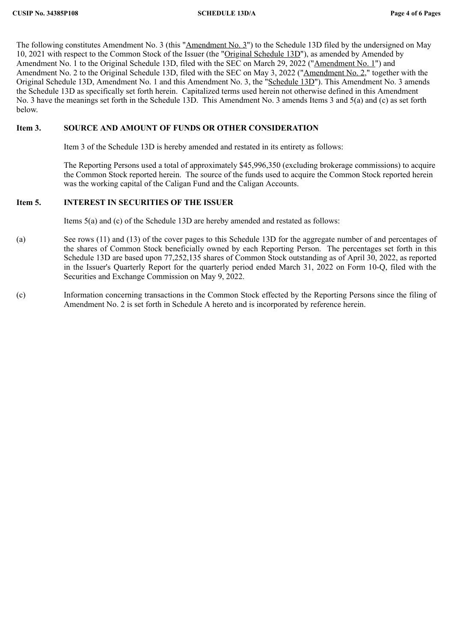The following constitutes Amendment No. 3 (this "Amendment No. 3") to the Schedule 13D filed by the undersigned on May 10, 2021 with respect to the Common Stock of the Issuer (the "Original Schedule 13D"), as amended by Amended by Amendment No. 1 to the Original Schedule 13D, filed with the SEC on March 29, 2022 ("Amendment No. 1") and Amendment No. 2 to the Original Schedule 13D, filed with the SEC on May 3, 2022 ("<u>Amendment No. 2</u>," together with the Original Schedule 13D, Amendment No. 1 and this Amendment No. 3, the "Schedule 13D"). This Amendment No. 3 amends the Schedule 13D as specifically set forth herein. Capitalized terms used herein not otherwise defined in this Amendment No. 3 have the meanings set forth in the Schedule 13D. This Amendment No. 3 amends Items 3 and 5(a) and (c) as set forth below.

### **Item 3. SOURCE AND AMOUNT OF FUNDS OR OTHER CONSIDERATION**

Item 3 of the Schedule 13D is hereby amended and restated in its entirety as follows:

The Reporting Persons used a total of approximately \$45,996,350 (excluding brokerage commissions) to acquire the Common Stock reported herein. The source of the funds used to acquire the Common Stock reported herein was the working capital of the Caligan Fund and the Caligan Accounts.

# **Item 5. INTEREST IN SECURITIES OF THE ISSUER**

Items 5(a) and (c) of the Schedule 13D are hereby amended and restated as follows:

- (a) See rows (11) and (13) of the cover pages to this Schedule 13D for the aggregate number of and percentages of the shares of Common Stock beneficially owned by each Reporting Person. The percentages set forth in this Schedule 13D are based upon 77,252,135 shares of Common Stock outstanding as of April 30, 2022, as reported in the Issuer's Quarterly Report for the quarterly period ended March 31, 2022 on Form 10-Q, filed with the Securities and Exchange Commission on May 9, 2022.
- (c) Information concerning transactions in the Common Stock effected by the Reporting Persons since the filing of Amendment No. 2 is set forth in Schedule A hereto and is incorporated by reference herein.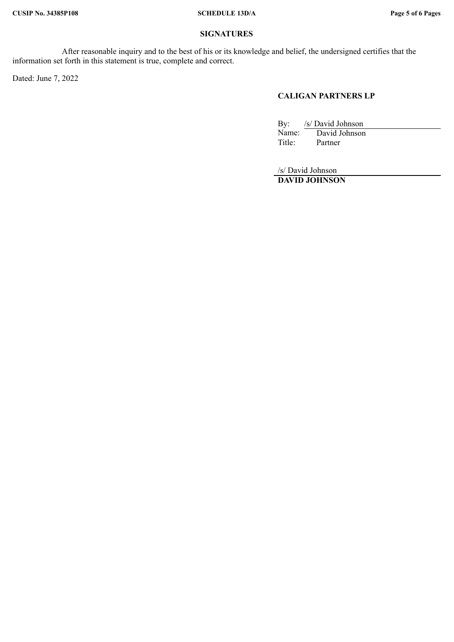## **SIGNATURES**

After reasonable inquiry and to the best of his or its knowledge and belief, the undersigned certifies that the information set forth in this statement is true, complete and correct.

Dated: June 7, 2022

# **CALIGAN PARTNERS LP**

By: /s/ David Johnson<br>Name: David Johnson Name: David Johnson<br>Title: Partner Partner

/s/ David Johnson **DAVID JOHNSON**